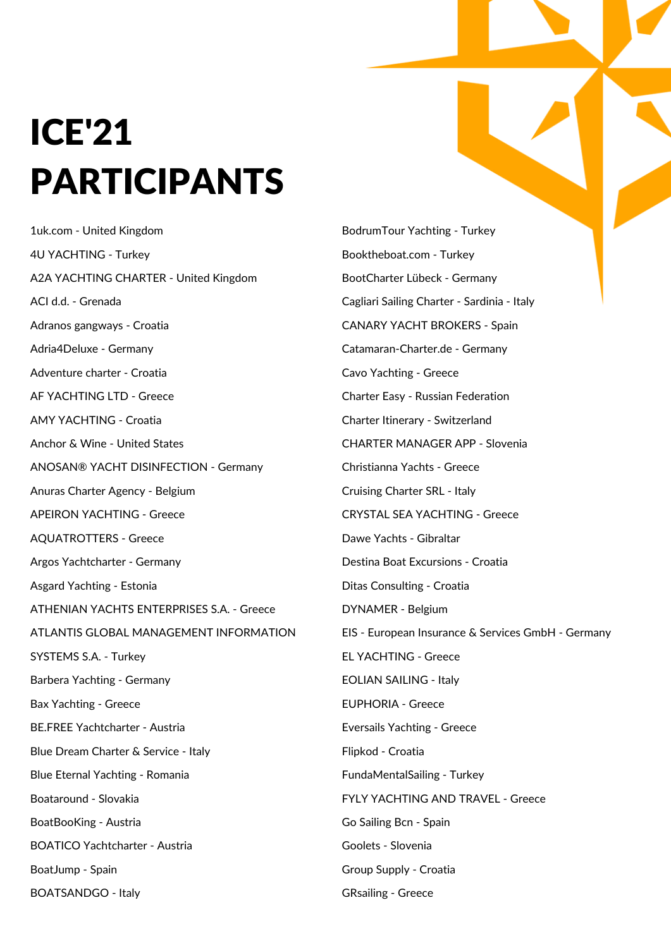## ICE'21 PARTICIPANTS

1uk.com - United Kingdom 4U YACHTING - Turkey A2A YACHTING CHARTER - United Kingdom ACI d.d. - Grenada Adranos gangways - Croatia Adria4Deluxe - Germany Adventure charter - Croatia AF YACHTING LTD - Greece AMY YACHTING - Croatia Anchor & Wine - United States ANOSAN® YACHT DISINFECTION - Germany Anuras Charter Agency - Belgium APEIRON YACHTING - Greece AQUATROTTERS - Greece Argos Yachtcharter - Germany Asgard Yachting - Estonia ATHENIAN YACHTS ENTERPRISES S.A. - Greece ATLANTIS GLOBAL MANAGEMENT INFORMATION SYSTEMS S.A. - Turkey Barbera Yachting - Germany Bax Yachting - Greece BE.FREE Yachtcharter - Austria Blue Dream Charter & Service - Italy Blue Eternal Yachting - Romania Boataround - Slovakia BoatBooKing - Austria BOATICO Yachtcharter - Austria BoatJump - Spain BOATSANDGO - Italy

BodrumTour Yachting - Turkey Booktheboat.com - Turkey BootCharter Lübeck - Germany Cagliari Sailing Charter - Sardinia - Italy CANARY YACHT BROKERS - Spain Catamaran-Charter.de - Germany Cavo Yachting - Greece Charter Easy - Russian Federation Charter Itinerary - Switzerland CHARTER MANAGER APP - Slovenia Christianna Yachts - Greece Cruising Charter SRL - Italy CRYSTAL SEA YACHTING - Greece Dawe Yachts - Gibraltar Destina Boat Excursions - Croatia Ditas Consulting - Croatia DYNAMER - Belgium EIS - European Insurance & Services GmbH - Germany EL YACHTING - Greece EOLIAN SAILING - Italy EUPHORIA - Greece Eversails Yachting - Greece Flipkod - Croatia FundaMentalSailing - Turkey FYLY YACHTING AND TRAVEL - Greece Go Sailing Bcn - Spain Goolets - Slovenia Group Supply - Croatia GRsailing - Greece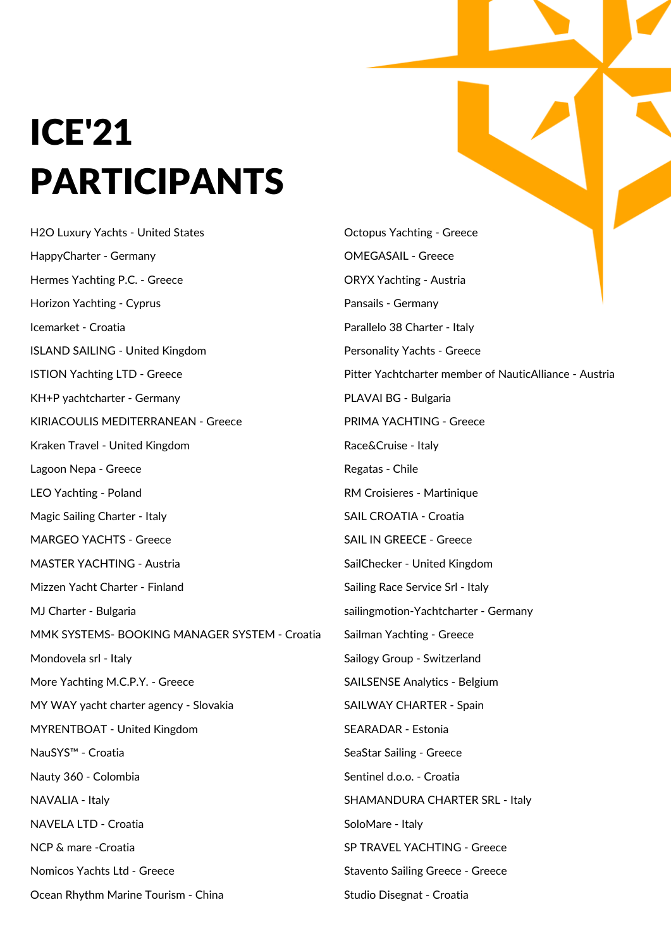## ICE'21 ICE'21 PARTICIPANTS PARTICIPANTS

H2O Luxury Yachts - United States HappyCharter - Germany Hermes Yachting P.C. - Greece Horizon Yachting - Cyprus Icemarket - Croatia ISLAND SAILING - United Kingdom ISTION Yachting LTD - Greece KH+P yachtcharter - Germany KIRIACOULIS MEDITERRANEAN - Greece Kraken Travel - United Kingdom Lagoon Nepa - Greece LEO Yachting - Poland Magic Sailing Charter - Italy MARGEO YACHTS - Greece MASTER YACHTING - Austria Mizzen Yacht Charter - Finland MJ Charter - Bulgaria MMK SYSTEMS- BOOKING MANAGER SYSTEM - Croatia Mondovela srl - Italy More Yachting M.C.P.Y. - Greece MY WAY yacht charter agency - Slovakia MYRENTBOAT - United Kingdom NauSYS™ - Croatia Nauty 360 - Colombia NAVALIA - Italy NAVELA LTD - Croatia NCP & mare -Croatia Nomicos Yachts Ltd - Greece Ocean Rhythm Marine Tourism - China

Octopus Yachting - Greece OMEGASAIL - Greece ORYX Yachting - Austria Pansails - Germany Parallelo 38 Charter - Italy Personality Yachts - Greece Pitter Yachtcharter member of NauticAlliance - Austria PLAVAI BG - Bulgaria PRIMA YACHTING - Greece Race&Cruise - Italy Regatas - Chile RM Croisieres - Martinique SAIL CROATIA - Croatia SAIL IN GREECE - Greece SailChecker - United Kingdom Sailing Race Service Srl - Italy sailingmotion-Yachtcharter - Germany Sailman Yachting - Greece Sailogy Group - Switzerland SAILSENSE Analytics - Belgium SAILWAY CHARTER - Spain SEARADAR - Estonia SeaStar Sailing - Greece Sentinel d.o.o. - Croatia SHAMANDURA CHARTER SRL - Italy SoloMare - Italy SP TRAVEL YACHTING - Greece Stavento Sailing Greece - Greece Studio Disegnat - Croatia